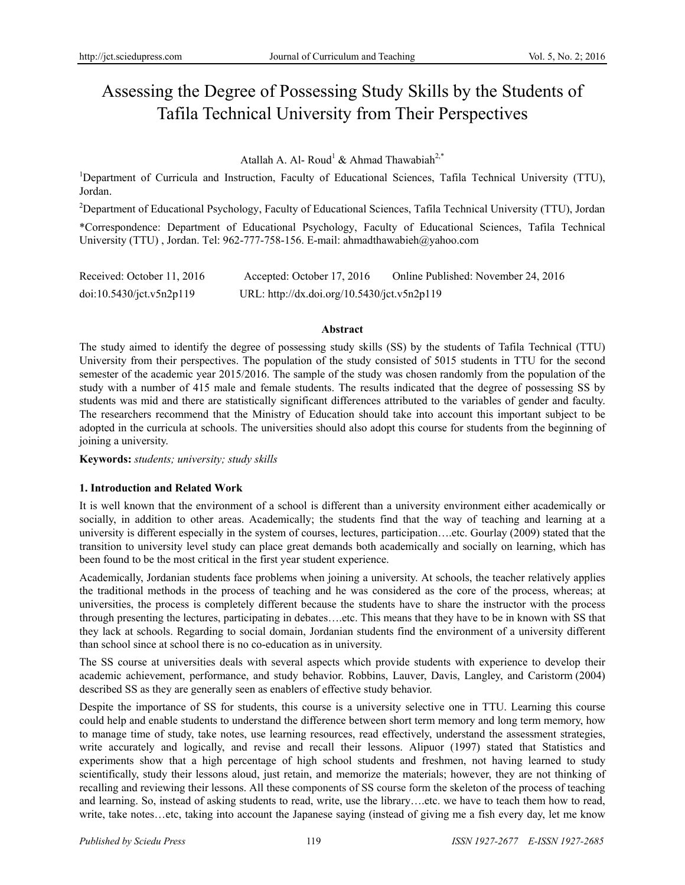# Assessing the Degree of Possessing Study Skills by the Students of Tafila Technical University from Their Perspectives

Atallah A. Al- Roud<sup>1</sup> & Ahmad Thawabiah<sup>2,\*</sup>

<sup>1</sup>Department of Curricula and Instruction, Faculty of Educational Sciences, Tafila Technical University (TTU), Jordan.

<sup>2</sup>Department of Educational Psychology, Faculty of Educational Sciences, Tafila Technical University (TTU), Jordan \*Correspondence: Department of Educational Psychology, Faculty of Educational Sciences, Tafila Technical University (TTU) , Jordan. Tel: 962-777-758-156. E-mail: ahmadthawabieh@yahoo.com

| Received: October 11, 2016 | Accepted: October 17, 2016                  | Online Published: November 24, 2016 |
|----------------------------|---------------------------------------------|-------------------------------------|
| doi:10.5430/jct.v5n2p119   | URL: http://dx.doi.org/10.5430/jct.v5n2p119 |                                     |

## **Abstract**

The study aimed to identify the degree of possessing study skills (SS) by the students of Tafila Technical (TTU) University from their perspectives. The population of the study consisted of 5015 students in TTU for the second semester of the academic year 2015/2016. The sample of the study was chosen randomly from the population of the study with a number of 415 male and female students. The results indicated that the degree of possessing SS by students was mid and there are statistically significant differences attributed to the variables of gender and faculty. The researchers recommend that the Ministry of Education should take into account this important subject to be adopted in the curricula at schools. The universities should also adopt this course for students from the beginning of joining a university.

**Keywords:** *students; university; study skills*

# **1. Introduction and Related Work**

It is well known that the environment of a school is different than a university environment either academically or socially, in addition to other areas. Academically; the students find that the way of teaching and learning at a university is different especially in the system of courses, lectures, participation….etc. Gourlay (2009) stated that the transition to university level study can place great demands both academically and socially on learning, which has been found to be the most critical in the first year student experience.

Academically, Jordanian students face problems when joining a university. At schools, the teacher relatively applies the traditional methods in the process of teaching and he was considered as the core of the process, whereas; at universities, the process is completely different because the students have to share the instructor with the process through presenting the lectures, participating in debates….etc. This means that they have to be in known with SS that they lack at schools. Regarding to social domain, Jordanian students find the environment of a university different than school since at school there is no co-education as in university.

The SS course at universities deals with several aspects which provide students with experience to develop their academic achievement, performance, and study behavior. Robbins, Lauver, Davis, Langley, and Caristorm (2004) described SS as they are generally seen as enablers of effective study behavior.

Despite the importance of SS for students, this course is a university selective one in TTU. Learning this course could help and enable students to understand the difference between short term memory and long term memory, how to manage time of study, take notes, use learning resources, read effectively, understand the assessment strategies, write accurately and logically, and revise and recall their lessons. Alipuor (1997) stated that Statistics and experiments show that a high percentage of high school students and freshmen, not having learned to study scientifically, study their lessons aloud, just retain, and memorize the materials; however, they are not thinking of recalling and reviewing their lessons. All these components of SS course form the skeleton of the process of teaching and learning. So, instead of asking students to read, write, use the library….etc. we have to teach them how to read, write, take notes…etc, taking into account the Japanese saying (instead of giving me a fish every day, let me know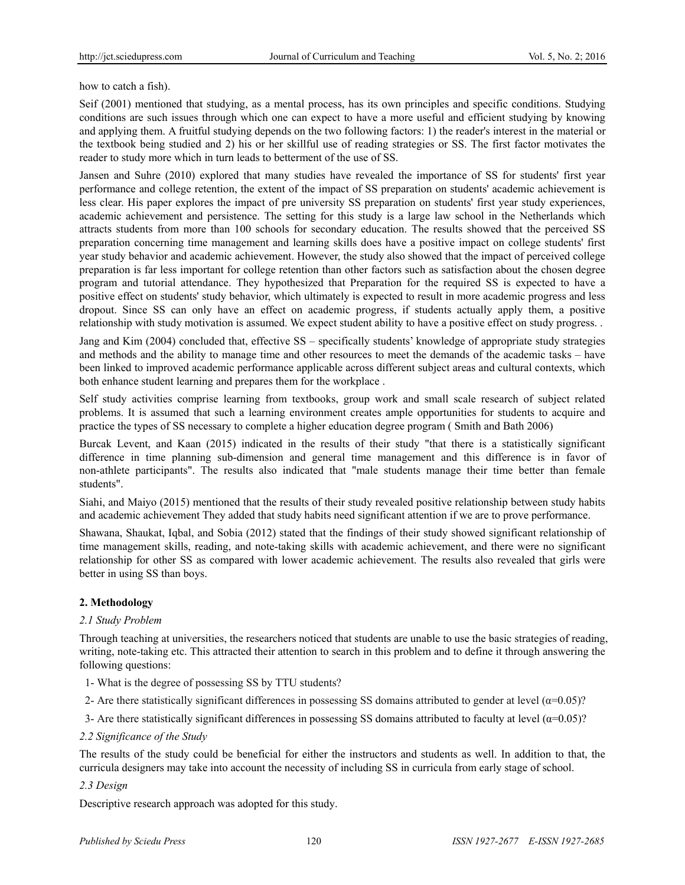how to catch a fish).

Seif (2001) mentioned that studying, as a mental process, has its own principles and specific conditions. Studying conditions are such issues through which one can expect to have a more useful and efficient studying by knowing and applying them. A fruitful studying depends on the two following factors: 1) the reader's interest in the material or the textbook being studied and 2) his or her skillful use of reading strategies or SS. The first factor motivates the reader to study more which in turn leads to betterment of the use of SS.

Jansen and Suhre (2010) explored that many studies have revealed the importance of SS for students' first year performance and college retention, the extent of the impact of SS preparation on students' academic achievement is less clear. His paper explores the impact of pre university SS preparation on students' first year study experiences, academic achievement and persistence. The setting for this study is a large law school in the Netherlands which attracts students from more than 100 schools for secondary education. The results showed that the perceived SS preparation concerning time management and learning skills does have a positive impact on college students' first year study behavior and academic achievement. However, the study also showed that the impact of perceived college preparation is far less important for college retention than other factors such as satisfaction about the chosen degree program and tutorial attendance. They hypothesized that Preparation for the required SS is expected to have a positive effect on students' study behavior, which ultimately is expected to result in more academic progress and less dropout. Since SS can only have an effect on academic progress, if students actually apply them, a positive relationship with study motivation is assumed. We expect student ability to have a positive effect on study progress. .

Jang and Kim (2004) concluded that, effective SS – specifically students' knowledge of appropriate study strategies and methods and the ability to manage time and other resources to meet the demands of the academic tasks – have been linked to improved academic performance applicable across different subject areas and cultural contexts, which both enhance student learning and prepares them for the workplace .

Self study activities comprise learning from textbooks, group work and small scale research of subject related problems. It is assumed that such a learning environment creates ample opportunities for students to acquire and practice the types of SS necessary to complete a higher education degree program ( Smith and Bath 2006)

Burcak Levent, and Kaan (2015) indicated in the results of their study "that there is a statistically significant difference in time planning sub-dimension and general time management and this difference is in favor of non-athlete participants". The results also indicated that "male students manage their time better than female students".

Siahi, and Maiyo (2015) mentioned that the results of their study revealed positive relationship between study habits and academic achievement They added that study habits need significant attention if we are to prove performance.

Shawana, Shaukat, Iqbal, and Sobia (2012) stated that the findings of their study showed significant relationship of time management skills, reading, and note-taking skills with academic achievement, and there were no significant relationship for other SS as compared with lower academic achievement. The results also revealed that girls were better in using SS than boys.

## **2. Methodology**

#### *2.1 Study Problem*

Through teaching at universities, the researchers noticed that students are unable to use the basic strategies of reading, writing, note-taking etc. This attracted their attention to search in this problem and to define it through answering the following questions:

1- What is the degree of possessing SS by TTU students?

- 2- Are there statistically significant differences in possessing SS domains attributed to gender at level  $(\alpha=0.05)$ ?
- 3- Are there statistically significant differences in possessing SS domains attributed to faculty at level  $(\alpha=0.05)$ ?
- *2.2 Significance of the Study*

The results of the study could be beneficial for either the instructors and students as well. In addition to that, the curricula designers may take into account the necessity of including SS in curricula from early stage of school.

*2.3 Design* 

Descriptive research approach was adopted for this study.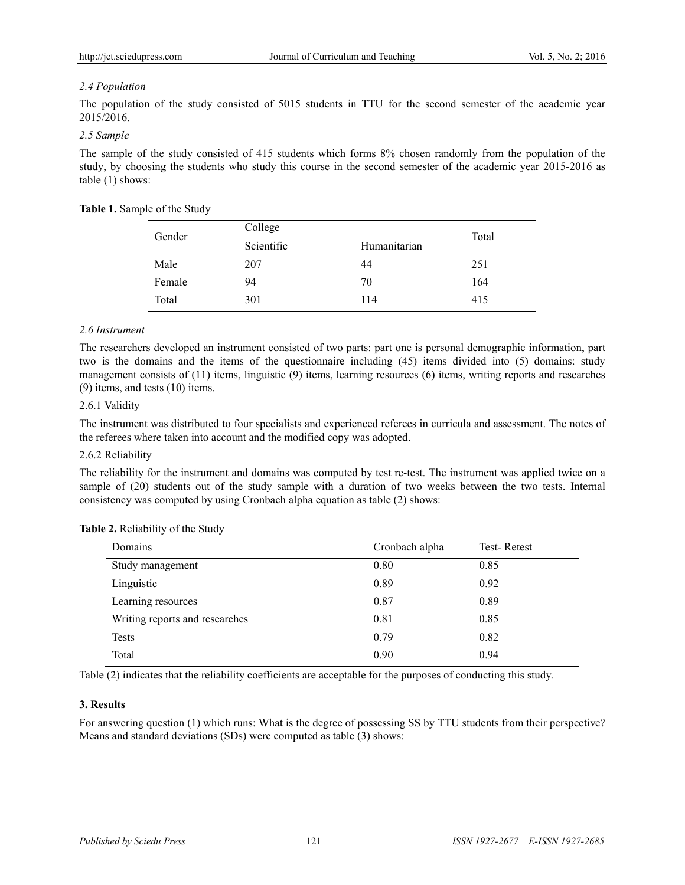# *2.4 Population*

The population of the study consisted of 5015 students in TTU for the second semester of the academic year 2015/2016.

# *2.5 Sample*

The sample of the study consisted of 415 students which forms 8% chosen randomly from the population of the study, by choosing the students who study this course in the second semester of the academic year 2015-2016 as table (1) shows:

# **Table 1.** Sample of the Study

| Gender | College    |              | Total |
|--------|------------|--------------|-------|
|        | Scientific | Humanitarian |       |
| Male   | 207        | 44           | 251   |
| Female | 94         | 70           | 164   |
| Total  | 301        | 114          | 415   |

# *2.6 Instrument*

The researchers developed an instrument consisted of two parts: part one is personal demographic information, part two is the domains and the items of the questionnaire including (45) items divided into (5) domains: study management consists of (11) items, linguistic (9) items, learning resources (6) items, writing reports and researches (9) items, and tests (10) items.

# 2.6.1 Validity

The instrument was distributed to four specialists and experienced referees in curricula and assessment. The notes of the referees where taken into account and the modified copy was adopted.

## 2.6.2 Reliability

The reliability for the instrument and domains was computed by test re-test. The instrument was applied twice on a sample of (20) students out of the study sample with a duration of two weeks between the two tests. Internal consistency was computed by using Cronbach alpha equation as table (2) shows:

| Domains                        | Cronbach alpha | <b>Test-Retest</b> |
|--------------------------------|----------------|--------------------|
| Study management               | 0.80           | 0.85               |
| Linguistic                     | 0.89           | 0.92               |
| Learning resources             | 0.87           | 0.89               |
| Writing reports and researches | 0.81           | 0.85               |
| <b>Tests</b>                   | 0.79           | 0.82               |
| Total                          | 0.90           | 0.94               |

# **Table 2.** Reliability of the Study

Table (2) indicates that the reliability coefficients are acceptable for the purposes of conducting this study.

## **3. Results**

For answering question (1) which runs: What is the degree of possessing SS by TTU students from their perspective? Means and standard deviations (SDs) were computed as table (3) shows: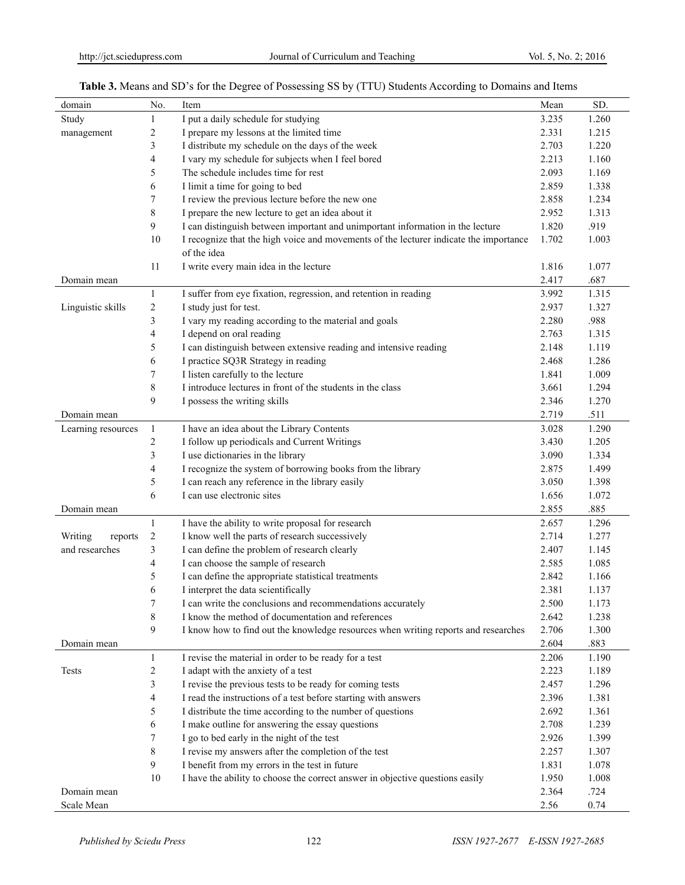| Table 3. Means and SD's for the Degree of Possessing SS by (TTU) Students According to Domains and Items |
|----------------------------------------------------------------------------------------------------------|
|----------------------------------------------------------------------------------------------------------|

| domain             | No.            | Item                                                                                  | Mean  | SD.   |
|--------------------|----------------|---------------------------------------------------------------------------------------|-------|-------|
| Study              | 1              | I put a daily schedule for studying                                                   | 3.235 | 1.260 |
| management         | 2              | I prepare my lessons at the limited time                                              | 2.331 | 1.215 |
|                    | 3              | I distribute my schedule on the days of the week                                      | 2.703 | 1.220 |
|                    | 4              | I vary my schedule for subjects when I feel bored                                     | 2.213 | 1.160 |
|                    | 5              | The schedule includes time for rest                                                   | 2.093 | 1.169 |
|                    | 6              | I limit a time for going to bed                                                       | 2.859 | 1.338 |
|                    | 7              | I review the previous lecture before the new one                                      | 2.858 | 1.234 |
|                    | 8              | I prepare the new lecture to get an idea about it                                     | 2.952 | 1.313 |
|                    | 9              | I can distinguish between important and unimportant information in the lecture        | 1.820 | .919  |
|                    | 10             | I recognize that the high voice and movements of the lecturer indicate the importance | 1.702 | 1.003 |
|                    |                | of the idea                                                                           |       |       |
|                    | 11             | I write every main idea in the lecture                                                | 1.816 | 1.077 |
| Domain mean        |                |                                                                                       | 2.417 | .687  |
|                    | $\mathbf{1}$   | I suffer from eye fixation, regression, and retention in reading                      | 3.992 | 1.315 |
| Linguistic skills  | $\overline{c}$ | I study just for test.                                                                | 2.937 | 1.327 |
|                    | 3              | I vary my reading according to the material and goals                                 | 2.280 | .988  |
|                    | 4              | I depend on oral reading                                                              | 2.763 | 1.315 |
|                    | 5              | I can distinguish between extensive reading and intensive reading                     | 2.148 | 1.119 |
|                    | 6              | I practice SQ3R Strategy in reading                                                   | 2.468 | 1.286 |
|                    | 7              | I listen carefully to the lecture                                                     | 1.841 | 1.009 |
|                    | 8              | I introduce lectures in front of the students in the class                            | 3.661 | 1.294 |
|                    | 9              | I possess the writing skills                                                          | 2.346 | 1.270 |
| Domain mean        |                |                                                                                       | 2.719 | .511  |
| Learning resources | $\mathbf{1}$   | I have an idea about the Library Contents                                             | 3.028 | 1.290 |
|                    | 2              | I follow up periodicals and Current Writings                                          | 3.430 | 1.205 |
|                    | 3              | I use dictionaries in the library                                                     | 3.090 | 1.334 |
|                    | 4              | I recognize the system of borrowing books from the library                            | 2.875 | 1.499 |
|                    | 5              | I can reach any reference in the library easily                                       | 3.050 | 1.398 |
|                    | 6              | I can use electronic sites                                                            | 1.656 | 1.072 |
| Domain mean        |                |                                                                                       | 2.855 | .885  |
|                    | $\mathbf{1}$   | I have the ability to write proposal for research                                     | 2.657 | 1.296 |
| Writing<br>reports | $\overline{c}$ | I know well the parts of research successively                                        | 2.714 | 1.277 |
| and researches     | $\mathfrak{Z}$ | I can define the problem of research clearly                                          | 2.407 | 1.145 |
|                    | 4              | I can choose the sample of research                                                   | 2.585 | 1.085 |
|                    | 5              | I can define the appropriate statistical treatments                                   | 2.842 | 1.166 |
|                    | 6              | I interpret the data scientifically                                                   | 2.381 | 1.137 |
|                    | 7              | I can write the conclusions and recommendations accurately                            | 2.500 | 1.173 |
|                    | $\,$ 8 $\,$    | I know the method of documentation and references                                     | 2.642 | 1.238 |
|                    | 9              | I know how to find out the knowledge resources when writing reports and researches    | 2.706 | 1.300 |
| Domain mean        |                |                                                                                       | 2.604 | .883  |
|                    | $\mathbf{1}$   | I revise the material in order to be ready for a test                                 | 2.206 | 1.190 |
| Tests              | 2              | I adapt with the anxiety of a test                                                    | 2.223 | 1.189 |
|                    | 3              | I revise the previous tests to be ready for coming tests                              | 2.457 | 1.296 |
|                    | 4              | I read the instructions of a test before starting with answers                        | 2.396 | 1.381 |
|                    | 5              | I distribute the time according to the number of questions                            | 2.692 | 1.361 |
|                    | 6              | I make outline for answering the essay questions                                      | 2.708 | 1.239 |
|                    | 7              | I go to bed early in the night of the test                                            | 2.926 | 1.399 |
|                    | 8              | I revise my answers after the completion of the test                                  | 2.257 | 1.307 |
|                    | 9              | I benefit from my errors in the test in future                                        | 1.831 | 1.078 |
|                    | 10             | I have the ability to choose the correct answer in objective questions easily         | 1.950 | 1.008 |
| Domain mean        |                |                                                                                       | 2.364 | .724  |
| Scale Mean         |                |                                                                                       | 2.56  | 0.74  |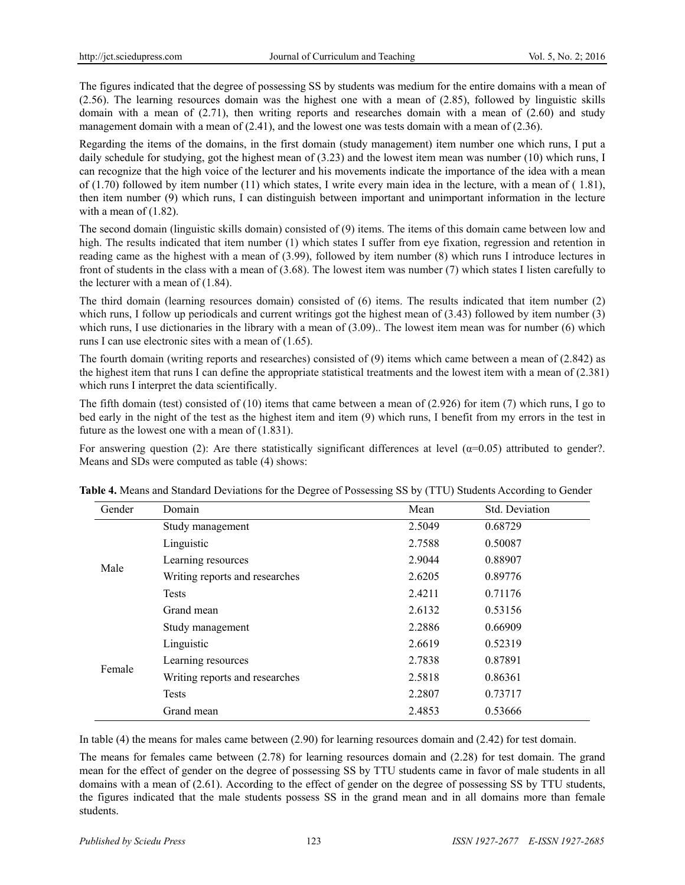The figures indicated that the degree of possessing SS by students was medium for the entire domains with a mean of (2.56). The learning resources domain was the highest one with a mean of (2.85), followed by linguistic skills domain with a mean of  $(2.71)$ , then writing reports and researches domain with a mean of  $(2.60)$  and study management domain with a mean of (2.41), and the lowest one was tests domain with a mean of (2.36).

Regarding the items of the domains, in the first domain (study management) item number one which runs, I put a daily schedule for studying, got the highest mean of (3.23) and the lowest item mean was number (10) which runs, I can recognize that the high voice of the lecturer and his movements indicate the importance of the idea with a mean of (1.70) followed by item number (11) which states, I write every main idea in the lecture, with a mean of ( 1.81), then item number (9) which runs, I can distinguish between important and unimportant information in the lecture with a mean of  $(1.82)$ .

The second domain (linguistic skills domain) consisted of (9) items. The items of this domain came between low and high. The results indicated that item number (1) which states I suffer from eye fixation, regression and retention in reading came as the highest with a mean of (3.99), followed by item number (8) which runs I introduce lectures in front of students in the class with a mean of (3.68). The lowest item was number (7) which states I listen carefully to the lecturer with a mean of (1.84).

The third domain (learning resources domain) consisted of (6) items. The results indicated that item number (2) which runs, I follow up periodicals and current writings got the highest mean of (3.43) followed by item number (3) which runs, I use dictionaries in the library with a mean of (3.09). The lowest item mean was for number (6) which runs I can use electronic sites with a mean of (1.65).

The fourth domain (writing reports and researches) consisted of (9) items which came between a mean of (2.842) as the highest item that runs I can define the appropriate statistical treatments and the lowest item with a mean of (2.381) which runs I interpret the data scientifically.

The fifth domain (test) consisted of (10) items that came between a mean of (2.926) for item (7) which runs, I go to bed early in the night of the test as the highest item and item (9) which runs, I benefit from my errors in the test in future as the lowest one with a mean of (1.831).

For answering question (2): Are there statistically significant differences at level  $(\alpha=0.05)$  attributed to gender?. Means and SDs were computed as table (4) shows:

| Gender         | Domain                         | Mean   | Std. Deviation |
|----------------|--------------------------------|--------|----------------|
| Male<br>Female | Study management               | 2.5049 | 0.68729        |
|                | Linguistic                     | 2.7588 | 0.50087        |
|                | Learning resources             | 2.9044 | 0.88907        |
|                | Writing reports and researches | 2.6205 | 0.89776        |
|                | <b>Tests</b>                   | 2.4211 | 0.71176        |
|                | Grand mean                     | 2.6132 | 0.53156        |
|                | Study management               | 2.2886 | 0.66909        |
|                | Linguistic                     | 2.6619 | 0.52319        |
|                | Learning resources             | 2.7838 | 0.87891        |
|                | Writing reports and researches | 2.5818 | 0.86361        |
|                | <b>Tests</b>                   | 2.2807 | 0.73717        |
|                | Grand mean                     | 2.4853 | 0.53666        |

**Table 4.** Means and Standard Deviations for the Degree of Possessing SS by (TTU) Students According to Gender

In table (4) the means for males came between (2.90) for learning resources domain and (2.42) for test domain.

The means for females came between (2.78) for learning resources domain and (2.28) for test domain. The grand mean for the effect of gender on the degree of possessing SS by TTU students came in favor of male students in all domains with a mean of (2.61). According to the effect of gender on the degree of possessing SS by TTU students, the figures indicated that the male students possess SS in the grand mean and in all domains more than female students.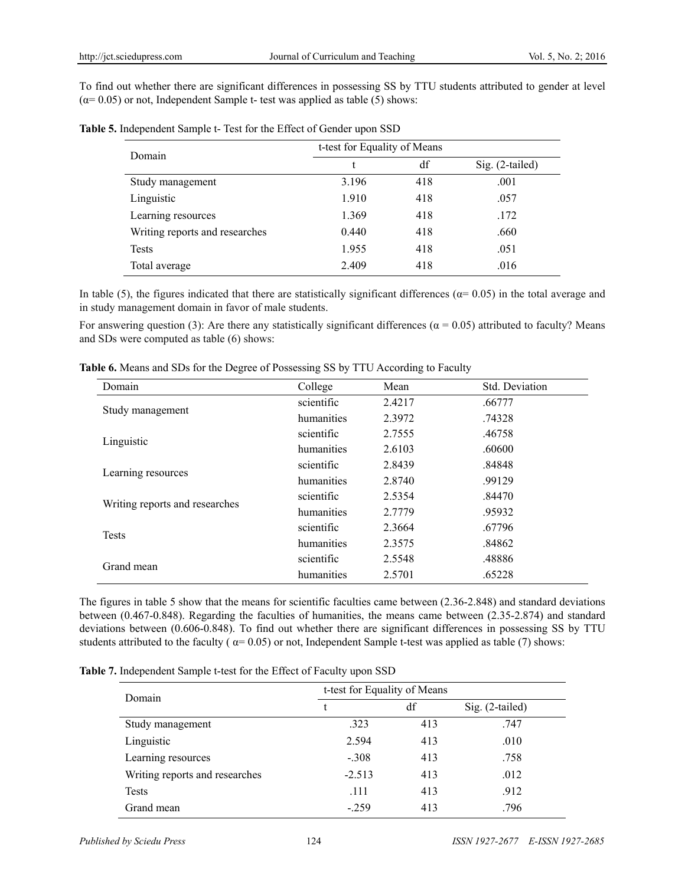To find out whether there are significant differences in possessing SS by TTU students attributed to gender at level  $(\alpha = 0.05)$  or not, Independent Sample t- test was applied as table (5) shows:

| Domain                         | t-test for Equality of Means |     |                   |  |
|--------------------------------|------------------------------|-----|-------------------|--|
|                                |                              | df  | $Sig. (2-tailed)$ |  |
| Study management               | 3.196                        | 418 | .001              |  |
| Linguistic                     | 1.910                        | 418 | .057              |  |
| Learning resources             | 1.369                        | 418 | .172              |  |
| Writing reports and researches | 0.440                        | 418 | .660              |  |
| <b>Tests</b>                   | 1.955                        | 418 | .051              |  |
| Total average                  | 2.409                        | 418 | .016              |  |

| Table 5. Independent Sample t- Test for the Effect of Gender upon SSD |
|-----------------------------------------------------------------------|
|-----------------------------------------------------------------------|

In table (5), the figures indicated that there are statistically significant differences ( $\alpha$ = 0.05) in the total average and in study management domain in favor of male students.

For answering question (3): Are there any statistically significant differences ( $\alpha$  = 0.05) attributed to faculty? Means and SDs were computed as table (6) shows:

| Domain                         | College    | Mean   | Std. Deviation |
|--------------------------------|------------|--------|----------------|
|                                | scientific | 2.4217 | .66777         |
| Study management               | humanities | 2.3972 | .74328         |
|                                | scientific | 2.7555 | .46758         |
| Linguistic                     | humanities | 2.6103 | .60600         |
|                                | scientific | 2.8439 | .84848         |
| Learning resources             | humanities | 2.8740 | .99129         |
|                                | scientific | 2.5354 | .84470         |
| Writing reports and researches | humanities | 2.7779 | .95932         |
|                                | scientific | 2.3664 | .67796         |
| <b>Tests</b>                   | humanities | 2.3575 | .84862         |
| Grand mean                     | scientific | 2.5548 | .48886         |
|                                | humanities | 2.5701 | .65228         |

Table 6. Means and SDs for the Degree of Possessing SS by TTU According to Faculty

The figures in table 5 show that the means for scientific faculties came between (2.36-2.848) and standard deviations between (0.467-0.848). Regarding the faculties of humanities, the means came between (2.35-2.874) and standard deviations between (0.606-0.848). To find out whether there are significant differences in possessing SS by TTU students attributed to the faculty ( $\alpha$ = 0.05) or not, Independent Sample t-test was applied as table (7) shows:

| Domain                         | t-test for Equality of Means |     |                 |  |
|--------------------------------|------------------------------|-----|-----------------|--|
|                                | t                            | df  | Sig. (2-tailed) |  |
| Study management               | .323                         | 413 | .747            |  |
| Linguistic                     | 2.594                        | 413 | .010            |  |
| Learning resources             | $-.308$                      | 413 | .758            |  |
| Writing reports and researches | $-2.513$                     | 413 | .012            |  |
| <b>Tests</b>                   | .111                         | 413 | .912            |  |
| Grand mean                     | $-.259$                      | 413 | .796            |  |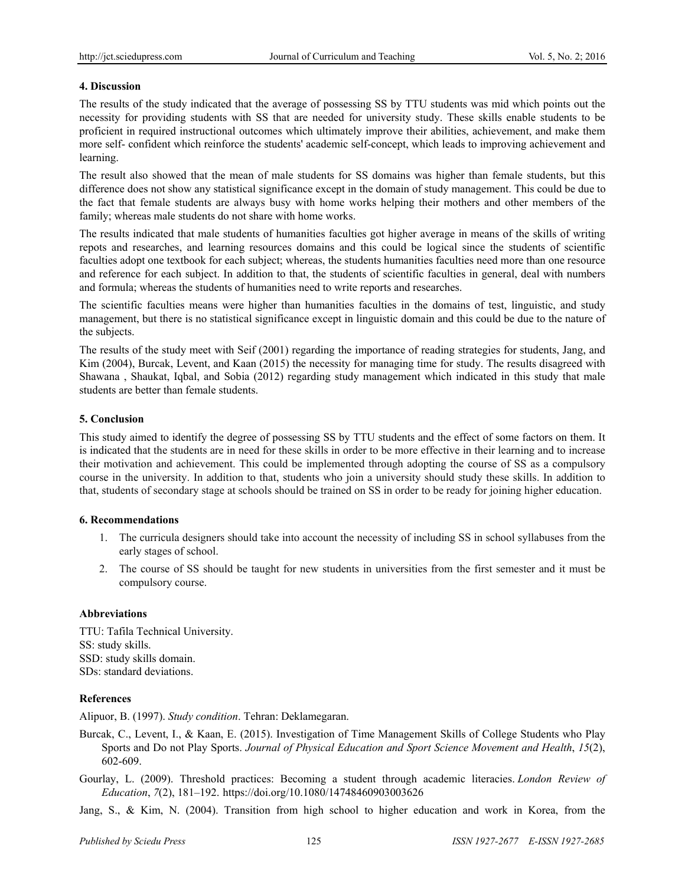#### **4. Discussion**

The results of the study indicated that the average of possessing SS by TTU students was mid which points out the necessity for providing students with SS that are needed for university study. These skills enable students to be proficient in required instructional outcomes which ultimately improve their abilities, achievement, and make them more self- confident which reinforce the students' academic self-concept, which leads to improving achievement and learning.

The result also showed that the mean of male students for SS domains was higher than female students, but this difference does not show any statistical significance except in the domain of study management. This could be due to the fact that female students are always busy with home works helping their mothers and other members of the family; whereas male students do not share with home works.

The results indicated that male students of humanities faculties got higher average in means of the skills of writing repots and researches, and learning resources domains and this could be logical since the students of scientific faculties adopt one textbook for each subject; whereas, the students humanities faculties need more than one resource and reference for each subject. In addition to that, the students of scientific faculties in general, deal with numbers and formula; whereas the students of humanities need to write reports and researches.

The scientific faculties means were higher than humanities faculties in the domains of test, linguistic, and study management, but there is no statistical significance except in linguistic domain and this could be due to the nature of the subjects.

The results of the study meet with Seif (2001) regarding the importance of reading strategies for students, Jang, and Kim (2004), Burcak, Levent, and Kaan (2015) the necessity for managing time for study. The results disagreed with Shawana , Shaukat, Iqbal, and Sobia (2012) regarding study management which indicated in this study that male students are better than female students.

#### **5. Conclusion**

This study aimed to identify the degree of possessing SS by TTU students and the effect of some factors on them. It is indicated that the students are in need for these skills in order to be more effective in their learning and to increase their motivation and achievement. This could be implemented through adopting the course of SS as a compulsory course in the university. In addition to that, students who join a university should study these skills. In addition to that, students of secondary stage at schools should be trained on SS in order to be ready for joining higher education.

## **6. Recommendations**

- 1. The curricula designers should take into account the necessity of including SS in school syllabuses from the early stages of school.
- 2. The course of SS should be taught for new students in universities from the first semester and it must be compulsory course.

## **Abbreviations**

TTU: Tafila Technical University. SS: study skills. SSD: study skills domain. SDs: standard deviations.

## **References**

Alipuor, B. (1997). *Study condition*. Tehran: Deklamegaran.

- Burcak, C., Levent, I., & Kaan, E. (2015). Investigation of Time Management Skills of College Students who Play Sports and Do not Play Sports. *Journal of Physical Education and Sport Science Movement and Health*, *15*(2), 602-609.
- Gourlay, L. (2009). Threshold practices: Becoming a student through academic literacies. *London Review of Education*, *7*(2), 181–192. https://doi.org/10.1080/14748460903003626
- Jang, S., & Kim, N. (2004). Transition from high school to higher education and work in Korea, from the